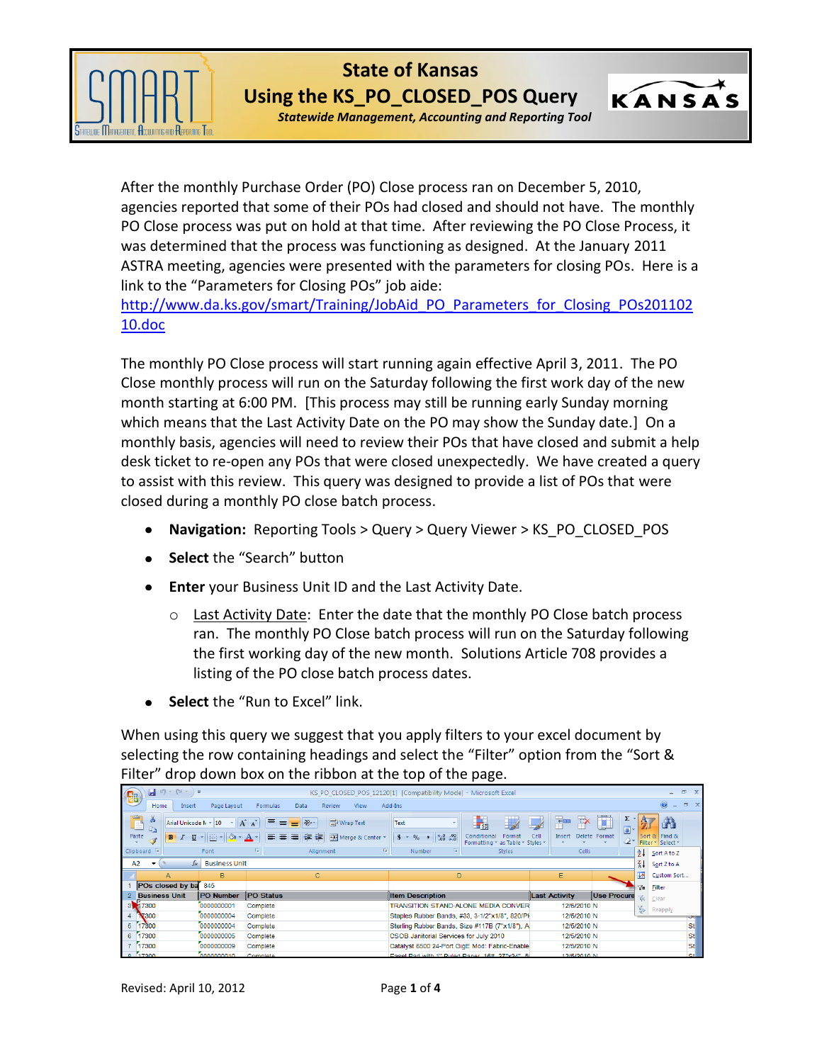

## **State of Kansas Using the KS\_PO\_CLOSED\_POS Query**

*Statewide Management, Accounting and Reporting Tool*

KANSAS

After the monthly Purchase Order (PO) Close process ran on December 5, 2010, agencies reported that some of their POs had closed and should not have. The monthly PO Close process was put on hold at that time. After reviewing the PO Close Process, it was determined that the process was functioning as designed. At the January 2011 ASTRA meeting, agencies were presented with the parameters for closing POs. Here is a link to the "Parameters for Closing POs" job aide:

[http://www.da.ks.gov/smart/Training/JobAid\\_PO\\_Parameters\\_for\\_Closing\\_POs201102](http://www.da.ks.gov/smart/Training/JobAid_PO_Parameters_for_Closing_POs20110210.doc) [10.doc](http://www.da.ks.gov/smart/Training/JobAid_PO_Parameters_for_Closing_POs20110210.doc)

The monthly PO Close process will start running again effective April 3, 2011. The PO Close monthly process will run on the Saturday following the first work day of the new month starting at 6:00 PM. [This process may still be running early Sunday morning which means that the Last Activity Date on the PO may show the Sunday date.] On a monthly basis, agencies will need to review their POs that have closed and submit a help desk ticket to re-open any POs that were closed unexpectedly. We have created a query to assist with this review. This query was designed to provide a list of POs that were closed during a monthly PO close batch process.

- **Navigation:** Reporting Tools > Query > Query Viewer > KS\_PO\_CLOSED\_POS
- **Select** the "Search" button
- **Enter** your Business Unit ID and the Last Activity Date.
	- $\circ$  Last Activity Date: Enter the date that the monthly PO Close batch process ran. The monthly PO Close batch process will run on the Saturday following the first working day of the new month. Solutions Article 708 provides a listing of the PO close batch process dates.
- **Select** the "Run to Excel" link.  $\bullet$

When using this query we suggest that you apply filters to your excel document by selecting the row containing headings and select the "Filter" option from the "Sort & Filter" drop down box on the ribbon at the top of the page.

|          |                          |                                                 |                                           |                                                                  |                                         | . .                                                              |                                                   |                          |                                           |               |                    |            |
|----------|--------------------------|-------------------------------------------------|-------------------------------------------|------------------------------------------------------------------|-----------------------------------------|------------------------------------------------------------------|---------------------------------------------------|--------------------------|-------------------------------------------|---------------|--------------------|------------|
| <b>B</b> | $\Box$ in $\sim$ (sine)  |                                                 |                                           |                                                                  |                                         | KS_PO_CLOSED_POS_12120[1] [Compatibility Mode] - Microsoft Excel |                                                   |                          |                                           |               |                    | m.         |
|          | Home                     | Insert                                          | Page Layout                               | Formulas<br>Data                                                 | <b>View</b><br><b>Review</b>            | Add-Ins                                                          |                                                   |                          |                                           |               | $\circledcirc$     | 面          |
| $\omega$ | ¥<br><b>Lia</b><br>Paste | Arial Unicode N ~ 10<br>$B$ $I$<br>$\mathbf{u}$ | $\mathbf{A} \mathbf{A}$<br>$2 - A$<br>FFI | $\equiv$<br>$\frac{30}{2}$<br>$\equiv$<br>$=$<br>■使使<br>巨<br>  書 | <b>Text</b> Wrap Text<br>Merge & Center | Text<br>$3.6$ $3.6$<br>$\mathbf{s}$<br>$\%$ ,                    | 鷝<br>$\mathbb{H}$<br>Conditional<br>Format        | ŧ<br>旨<br>Cell<br>Insert | U<br>Σ<br>$\overline{9}$<br>Delete Format | a-            | Ĥ<br>Sort & Find & |            |
|          | Clipboard <sup>5</sup>   |                                                 | Font                                      | Alignment<br>w                                                   | Ta.                                     | Tsi.<br>Number                                                   | Formatting * as Table * Styles *<br><b>Styles</b> | Cells                    |                                           |               | Filter v Select v  |            |
|          |                          |                                                 |                                           |                                                                  |                                         |                                                                  |                                                   |                          |                                           | 91            | Sort A to Z        |            |
| A2       |                          | $f_x$                                           | <b>Business Unit</b>                      |                                                                  |                                         |                                                                  |                                                   |                          |                                           | $\frac{z}{4}$ | Sort Z to A        |            |
|          | A                        |                                                 | B                                         | $\mathbf{C}$                                                     |                                         | D                                                                |                                                   | E                        |                                           | 林             | Custom Sort        |            |
|          | POs closed by ba         |                                                 | 845                                       |                                                                  |                                         |                                                                  |                                                   |                          |                                           | 7-            | Filter             |            |
|          | <b>Business Unit</b>     |                                                 | <b>PO Number</b>                          | <b>PO Status</b>                                                 |                                         | <b>Item Description</b>                                          |                                                   | <b>Last Activity</b>     | Use Procure                               |               | Clear              |            |
|          | 3 17300                  |                                                 | 0000000001                                | Complete                                                         |                                         | TRANSITION STAND-ALONE MEDIA CONVER                              |                                                   | 12/5/2010 N              |                                           |               | Reapply            |            |
|          | ₹300                     |                                                 | 0000000004                                | Complete                                                         |                                         | Staples Rubber Bands, #33, 3-1/2"x1/8", 820/PK                   |                                                   | 12/5/2010 N              |                                           | 鉴             |                    | <b>ALC</b> |
| 5        | 17300                    |                                                 | 0000000004                                | Complete                                                         |                                         | Sterling Rubber Bands, Size #117B (7"x1/8"), A                   |                                                   | 12/5/2010 N              |                                           |               |                    | St         |
| 6        | 17300                    |                                                 | 0000000005                                | Complete                                                         |                                         | CSOB Janitorial Services for July 2010                           |                                                   | 12/5/2010 N              |                                           |               |                    | St         |
|          | 17300                    |                                                 | 0000000009                                | Complete                                                         |                                         | Catalyst 6500 24-Port GigE Mod: Fabric-Enable                    |                                                   | 12/5/2010 N              |                                           |               |                    | <b>St</b>  |
|          | 8 17300                  |                                                 | 0000000010                                | Complete                                                         |                                         | Focal Port with 1" Ruled Poner, 16#, 27"v34", 5(                 |                                                   | 12/5/2010 N              |                                           |               |                    | $C+$       |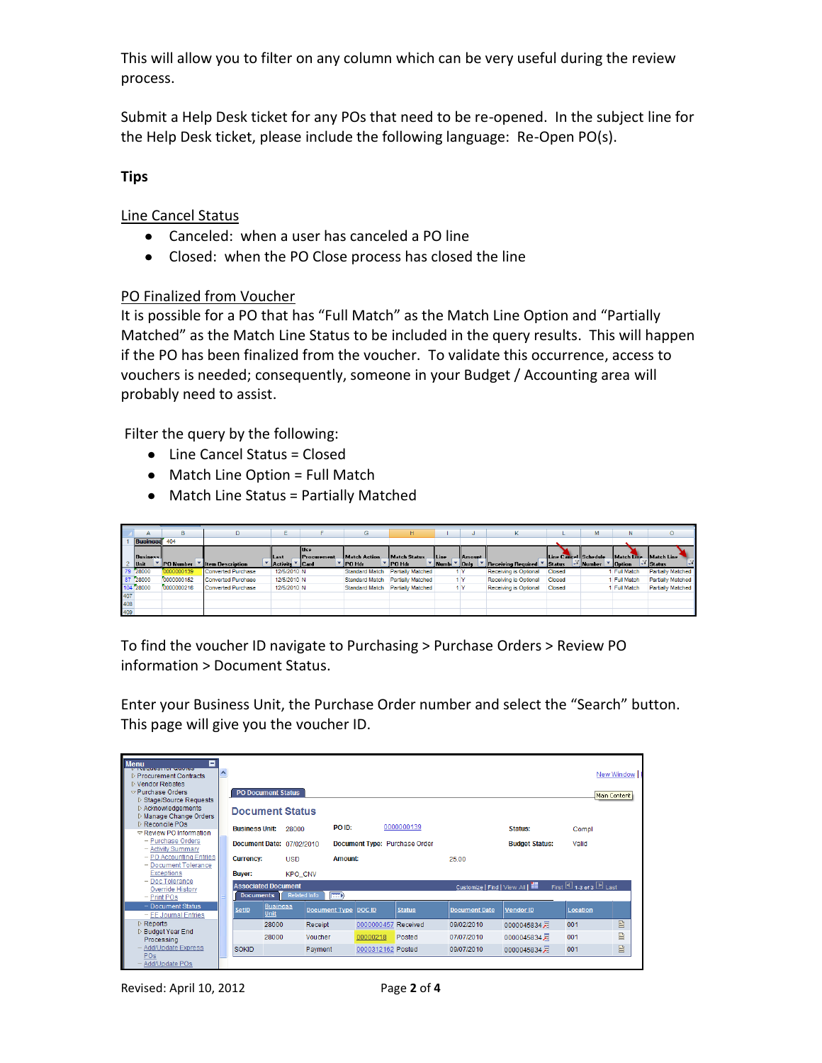This will allow you to filter on any column which can be very useful during the review process.

Submit a Help Desk ticket for any POs that need to be re-opened. In the subject line for the Help Desk ticket, please include the following language: Re-Open PO(s).

## **Tips**

Line Cancel Status

- Canceled: when a user has canceled a PO line
- Closed: when the PO Close process has closed the line

## PO Finalized from Voucher

It is possible for a PO that has "Full Match" as the Match Line Option and "Partially Matched" as the Match Line Status to be included in the query results. This will happen if the PO has been finalized from the voucher. To validate this occurrence, access to vouchers is needed; consequently, someone in your Budget / Accounting area will probably need to assist.

Filter the query by the following:

- Line Cancel Status = Closed
- Match Line Option = Full Match
- Match Line Status = Partially Matched

|     | А                       | в                | D                         | Ē             |                              | G                     | H                        |      |                     | ĸ                            |                      | M      | Ν                 | $\circ$                  |
|-----|-------------------------|------------------|---------------------------|---------------|------------------------------|-----------------------|--------------------------|------|---------------------|------------------------------|----------------------|--------|-------------------|--------------------------|
|     | Business <sub>404</sub> |                  |                           |               |                              |                       |                          |      |                     |                              |                      |        |                   |                          |
|     | <b>Business</b>         |                  |                           | Last          | llUse<br><b>IProcurement</b> | <b>Match Action</b>   | Match Status             | Line | Amount.             |                              | Line Cancel Schedule |        | Match Line        | Match Line               |
|     | Unit                    | <b>PO</b> Number | <b>Item Description</b>   | Activity Card |                              | ' IPO Hdr             | <b>PO Hdr</b>            | Numb | $\blacksquare$ Only | <b>Receiving Required</b>    | <b>Status</b>        | Number | <b>Option</b>     | <b>Status</b>            |
|     | 79 28000                | 0000000139       | <b>Converted Purchase</b> | 12/5/2010 N   |                              | <b>Standard Match</b> | <b>Partially Matched</b> |      | 1 Y                 | <b>Receiving is Optional</b> | <b>Closed</b>        |        | <b>Full Match</b> | <b>Partially Matched</b> |
|     | 87 28000                | 0000000152       | <b>Converted Purchase</b> | 12/5/2010 N   |                              | <b>Standard Match</b> | Partially Matched        |      | 1 Y                 | Receiving is Optional        | <b>Closed</b>        |        | <b>Full Match</b> | Partially Matched        |
|     | 104 28000               | 0000000216       | Converted Purchase        | 12/5/2010 N   |                              | <b>Standard Match</b> | Partially Matched        |      | 1 Y                 | Receiving is Optional        | Closed               |        | <b>Full Match</b> | Partially Matched        |
| 407 |                         |                  |                           |               |                              |                       |                          |      |                     |                              |                      |        |                   |                          |
| 408 |                         |                  |                           |               |                              |                       |                          |      |                     |                              |                      |        |                   |                          |
| 409 |                         |                  |                           |               |                              |                       |                          |      |                     |                              |                      |        |                   |                          |

To find the voucher ID navigate to Purchasing > Purchase Orders > Review PO information > Document Status.

Enter your Business Unit, the Purchase Order number and select the "Search" button. This page will give you the voucher ID.

| <b>Menu</b><br>-1<br><b>V INCQUESTION QUOTES</b><br><b>D</b> Procurement Contracts<br><b>Nendor Rebates</b> | $\overline{\phantom{a}}$ |                        |                            |                      |         |                   |                               |                                   |                       |                       | New Window   |
|-------------------------------------------------------------------------------------------------------------|--------------------------|------------------------|----------------------------|----------------------|---------|-------------------|-------------------------------|-----------------------------------|-----------------------|-----------------------|--------------|
| $\nabla$ Purchase Orders<br>▷ Stage/Source Requests                                                         |                          |                        | <b>PO Document Status</b>  |                      |         |                   |                               |                                   |                       |                       | Main Content |
| ▷ Acknowledgements<br>Manage Change Orders                                                                  |                          | <b>Document Status</b> |                            |                      |         |                   |                               |                                   |                       |                       |              |
| ▷ Reconcile POs<br>$\triangledown$ Review PO Information                                                    |                          | <b>Business Unit:</b>  |                            | 28000                | PO ID:  |                   | 0000000139                    |                                   | Status:               | Compl                 |              |
| - Purchase Orders<br>- Activity Summary                                                                     |                          |                        | Document Date: 07/02/2010  |                      |         |                   | Document Type: Purchase Order |                                   | <b>Budget Status:</b> | Valid                 |              |
| - PO Accounting Entries<br>- Document Tolerance                                                             |                          | <b>Currency:</b>       | <b>USD</b>                 |                      | Amount: |                   |                               | 25.00                             |                       |                       |              |
| <b>Exceptions</b>                                                                                           |                          | Buyer:                 |                            | <b>KPO CNV</b>       |         |                   |                               |                                   |                       |                       |              |
| - Doc Tolerance<br>Override History<br>$-$ Print POs                                                        |                          | <b>Documents</b>       | <b>Associated Document</b> | Related Info         | $\Box$  |                   |                               | Customize   Find   View All   THE |                       | First 1 1-3 of 3 Last |              |
| - Document Status<br>- EE Journal Entries                                                                   |                          | <b>SetID</b>           | <b>Business</b><br>Unit    | Document Type DOC ID |         |                   | <b>Status</b>                 | Document Date                     | <b>Vendor ID</b>      | Location              |              |
| $\triangleright$ Reports                                                                                    |                          |                        | 28000                      | Receipt              |         | 0000000457        | Received                      | 09/02/2010                        | 0000045834月           | 001                   | 目            |
| ▷ Budget Year End<br>Processing                                                                             |                          |                        | 28000                      | Voucher              |         | 00000218          | Posted                        | 07/07/2010                        | 0000045834月           | 001                   | B            |
| Add/Update Express<br>POs                                                                                   |                          | <b>SOKID</b>           |                            | Payment              |         | 0000312162 Posted |                               | 09/07/2010                        | 0000045834月           | 001                   | B            |
| Add/Update POs                                                                                              |                          |                        |                            |                      |         |                   |                               |                                   |                       |                       |              |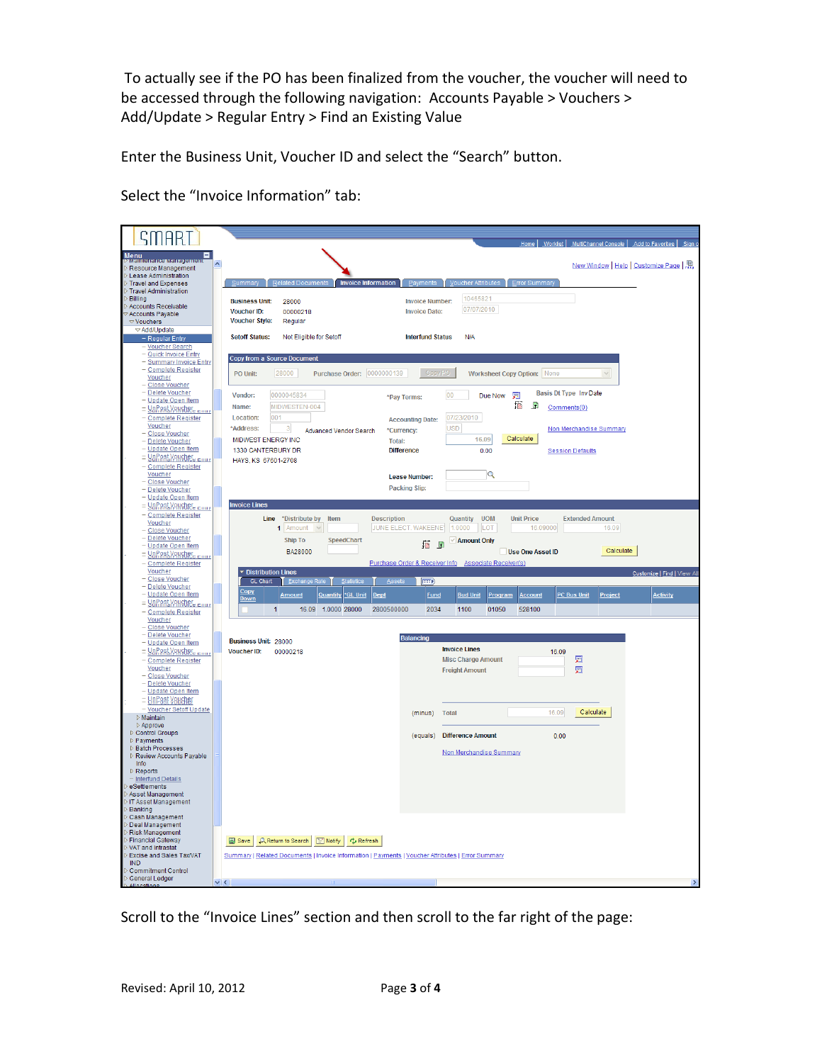To actually see if the PO has been finalized from the voucher, the voucher will need to be accessed through the following navigation: Accounts Payable > Vouchers > Add/Update > Regular Entry > Find an Existing Value

Enter the Business Unit, Voucher ID and select the "Search" button.

Select the "Invoice Information" tab:

| TIAR 1                                                     | Home   Worklist   MultiChannel Console   Add to Favorites   Sign o                                                                                                    |
|------------------------------------------------------------|-----------------------------------------------------------------------------------------------------------------------------------------------------------------------|
|                                                            |                                                                                                                                                                       |
| Menu<br>Mannenance Managemen<br>Resource Management        | $\overline{\phantom{a}}$<br>New Window   Help   Customize Page   總                                                                                                    |
| Lease Administration                                       |                                                                                                                                                                       |
| <b>Travel and Expenses</b><br><b>Travel Administration</b> | <b>Invoice Information</b><br>Summary<br><b>Related Documents</b><br>Voucher Attributes<br><b>Error Summary</b><br>Payments                                           |
| Billing                                                    | 10465821<br><b>Business Unit:</b><br><b>Invoice Number:</b><br>28000                                                                                                  |
| Accounts Receivable<br>Accounts Payable                    | 07/07/2010<br>Voucher ID:<br>00000218<br><b>Invoice Date:</b>                                                                                                         |
| $\heartsuit$ Vouchers                                      | <b>Voucher Style:</b><br>Regular                                                                                                                                      |
| <b>∞ Add/Update</b>                                        | <b>Setoff Status:</b><br>Not Eligible for Setoff<br><b>Interfund Status</b><br>N/A                                                                                    |
| - Regular Entry<br>- Voucher Search                        |                                                                                                                                                                       |
| - Quick Invoice Entry                                      | <b>Copy from a Source Document</b>                                                                                                                                    |
| - <u>Summary Invoice Entry</u><br><b>Complete Register</b> |                                                                                                                                                                       |
| Voucher                                                    | Copy PO<br>PO Unit:<br>28000<br>Purchase Order: 0000000139<br><b>Worksheet Copy Option: None</b>                                                                      |
| <b>Close Voucher</b><br>- Delete Voucher                   | Basis Dt Type Inv Date<br>0000045834<br>00<br>圜<br>Vendor:<br>Due Now                                                                                                 |
| - Update Open Item                                         | *Pay Terms:<br>摳<br><u>F</u><br>MIDWESTEN-004<br>Name:                                                                                                                |
| <u> = Уоллятучновестии</u><br><b>Complete Register</b>     | Comments(0)<br>07/23/2010<br>Location:<br>001<br><b>Accounting Date:</b>                                                                                              |
| Voucher                                                    | *Address:<br><b>USD</b><br>Non Merchandise Summary<br>3<br>Advanced Vendor Search<br>*Currency:                                                                       |
| - Close Voucher<br>- Delete Voucher                        | Calculate<br>MIDWEST ENERGY INC<br>16.09<br><b>Total:</b>                                                                                                             |
| - Update Open Item                                         | 1330 CANTERBURY DR<br><b>Difference</b><br>0.00<br><b>Session Defaults</b>                                                                                            |
| <u> = Уоллятучновес = пох</u>                              | HAYS, KS 67601-2708                                                                                                                                                   |
| <b>Complete Register</b><br>Voucher                        | $\mathbf Q$<br>Lease Number:                                                                                                                                          |
| Close Voucher                                              | <b>Packing Slip:</b>                                                                                                                                                  |
| - Delete Voucher<br><b>Update Open Item</b>                |                                                                                                                                                                       |
| = <u>Yorlast Vougbet = muy</u>                             | <b>Invoice Lines</b>                                                                                                                                                  |
| Complete Register<br>Voucher                               | *Distribute by<br><b>Description</b><br>Quantity<br><b>UOM</b><br><b>Unit Price</b><br><b>Extended Amount</b><br><b>Line</b><br>Item                                  |
| - Close Voucher                                            | JUNE ELECT. WAKEENEY<br>1.0000<br>LOT<br>16.09000<br>16.09<br>1 Amount                                                                                                |
| - Delete Voucher<br>– <u>Update Open Item</u>              | <b>Ship To</b><br>SpeedChart<br><b>√ Amount Only</b><br>18 5                                                                                                          |
| = YDP ost Voucher = muy                                    | Calculate<br>BA28000<br>Use One Asset ID                                                                                                                              |
|                                                            |                                                                                                                                                                       |
| <b>Complete Register</b>                                   | Purchase Order & Receiver Info Associate Receiver(s)                                                                                                                  |
| <b>Voucher</b><br>- Close Voucher                          | <b>Distribution Lines</b><br>Customize   Find   View Al<br><b>GL Chart</b><br><b>Exchange Rate</b><br>$\sqrt{1-\epsilon}$<br><b>Statistics</b><br>Assets              |
| Delete Voucher<br>- Update Open Item                       | Copy                                                                                                                                                                  |
| <u> = YoPest Veweber, Emily</u>                            | Amount<br><b>Quantity *GL Unit</b><br>Dept<br><b>Bud Unit</b><br><b>PC Bus Unit</b><br>Project<br><b>Activity</b><br><b>Fund</b><br>Program<br><b>Account</b><br>Down |
| <b>Complete Register</b>                                   | 16.09<br>1.0000 28000<br>2800500000<br>2034<br>1100<br>01050<br>528100<br>$\mathbf{1}$                                                                                |
| Voucher<br><b>Close Voucher</b>                            |                                                                                                                                                                       |
| - Delete Voucher                                           | <b>Balancing</b><br><b>Business Unit: 28000</b>                                                                                                                       |
| - Update Open Item<br><u> = YDRASLYAKOBE = 110 y</u>       | <b>Invoice Lines</b><br><b>Voucher ID:</b><br>00000218<br>16.09                                                                                                       |
| <b>Complete Register</b>                                   | <b>Misc Charge Amount</b><br>圜                                                                                                                                        |
| Voucher<br>– <u>Close Voucher</u>                          | 圜<br><b>Freight Amount</b>                                                                                                                                            |
| - Delete Voucher                                           |                                                                                                                                                                       |
| - <u>Update Open Item</u>                                  |                                                                                                                                                                       |
| = <mark>UnP8§t V8uehør</mark><br>- Voucher Setoff Update   | 16.09<br>Calculate<br>(minus)<br><b>Total</b>                                                                                                                         |
| $\triangleright$ Maintain<br>$\triangleright$ Approve      |                                                                                                                                                                       |
| Control Groups                                             | (equals)<br><b>Difference Amount</b><br>0.00                                                                                                                          |
| $\triangleright$ Payments<br><b>Batch Processes</b>        |                                                                                                                                                                       |
| <b>D</b> Review Accounts Payable                           | Non Merchandise Summary                                                                                                                                               |
| Info<br>Reports                                            |                                                                                                                                                                       |
| - Interfund Details                                        |                                                                                                                                                                       |
| eSettlements<br>Asset Management                           |                                                                                                                                                                       |
| IT Asset Management                                        |                                                                                                                                                                       |
| Banking<br>Cash Management                                 |                                                                                                                                                                       |
| Deal Management                                            |                                                                                                                                                                       |
| <b>Risk Management</b><br><b>Financial Gateway</b>         | Q. Return to Search   ■ Notify   な Refresh<br>$\Box$ Save                                                                                                             |
| VAT and Intrastat<br>Excise and Sales Tax/VAT              | Summary   Related Documents   Invoice Information   Payments   Voucher Attributes   Error Summary                                                                     |
| <b>IND</b>                                                 |                                                                                                                                                                       |
| <b>Commitment Control</b><br>General Ledger                | $\vee$ <<br>$\rightarrow$                                                                                                                                             |

Scroll to the "Invoice Lines" section and then scroll to the far right of the page: